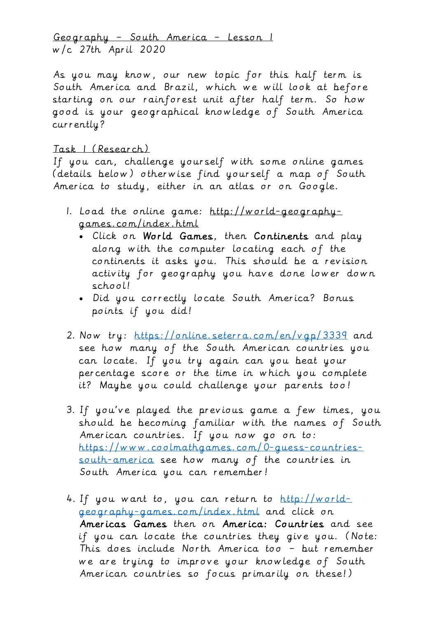Geography - South America - Lesson 1 w/c 27th April 2020

As you may know, our new topic for this half term is South America and Brazil, which we will look at before starting on our rainforest unit after half term. So how good is your geographical knowledge of South America currently?

## Task 1 (Research)

If you can, challenge yourself with some online games (details below) otherwise find yourself a map of South America to study, either in an atlas or on Google.

- 1. Load the online game: [http://world-geography](http://world-geography-games.com/index.html)[games.com/index.html](http://world-geography-games.com/index.html)
	- Click on World Games, then Continents and play along with the computer locating each of the continents it asks you. This should be a revision activity for geography you have done lower down school!
	- Did you correctly locate South America? Bonus points if you did!
- 2. Now try:<https://online.seterra.com/en/vgp/3339> and see how many of the South American countries you can locate. If you try again can you beat your percentage score or the time in which you complete it? Maybe you could challenge your parents too!
- 3. If you've played the previous game a few times, you should be becoming familiar with the names of South American countries. If you now go on to: [https://www.coolmathgames.com/0-guess-countries](https://www.coolmathgames.com/0-guess-countries-south-america)[south-america](https://www.coolmathgames.com/0-guess-countries-south-america) see how many of the countries in South America you can remember!
- 4. If you want to, you can return to [http://world](http://world-geography-games.com/index.html)[geography-games.com/index.html](http://world-geography-games.com/index.html) and click on Americas Games then on America: Countries and see if you can locate the countries they give you. (Note: This does include North America too – but remember we are trying to improve your knowledge of South American countries so focus primarily on these!)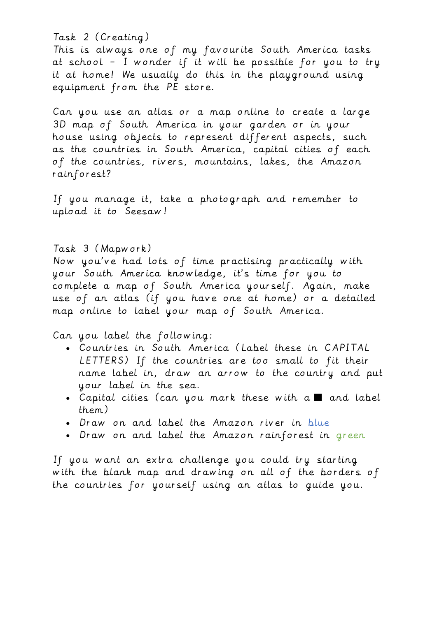Task 2 (Creating)

This is always one of my favourite South America tasks at school – I wonder if it will be possible for you to try it at home! We usually do this in the playground using equipment from the PE store.

Can you use an atlas or a map online to create a large 3D map of South America in your garden or in your house using objects to represent different aspects, such as the countries in South America, capital cities of each of the countries, rivers, mountains, lakes, the Amazon rainforest?

If you manage it, take a photograph and remember to upload it to Seesaw!

## Task 3 (Mapwork)

Now you've had lots of time practising practically with your South America knowledge, it's time for you to complete a map of South America yourself. Again, make use of an atlas (if you have one at home) or a detailed map online to label your map of South America.

Can you label the following:

- Countries in South America (Label these in CAPITAL LETTERS) If the countries are too small to fit their name label in, draw an arrow to the country and put your label in the sea.
- Capital cities (can you mark these with a  $\blacksquare$  and label them)
- Draw on and label the Amazon river in blue
- Draw on and label the Amazon rainforest in green

If you want an extra challenge you could try starting with the blank map and drawing on all of the borders of the countries for yourself using an atlas to guide you.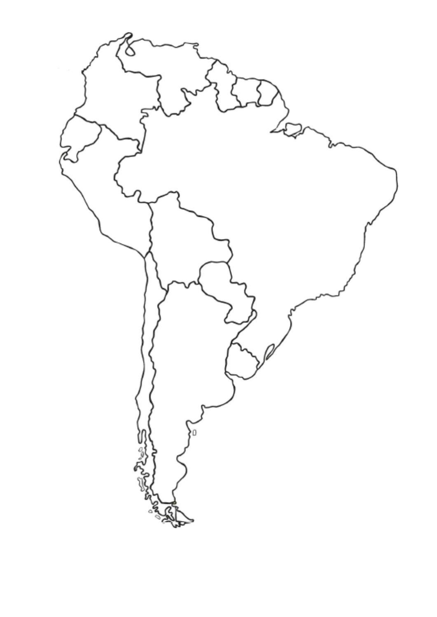